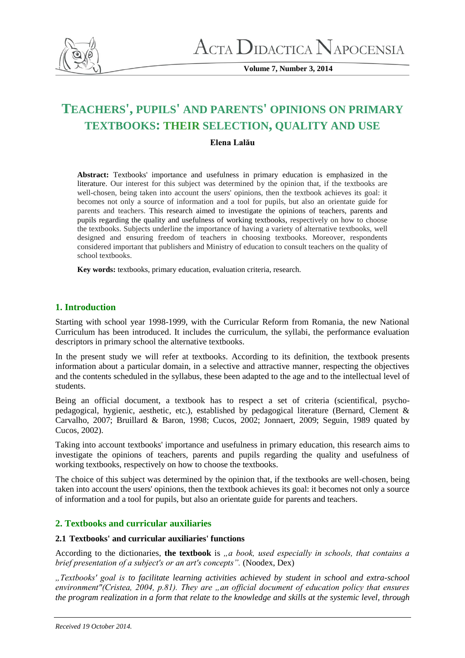

**Volume 7, Number 3, 2014**

# **TEACHERS', PUPILS' AND PARENTS' OPINIONS ON PRIMARY TEXTBOOKS: THEIR SELECTION, QUALITY AND USE**

# **Elena Lalău**

**Abstract:** Textbooks' importance and usefulness in primary education is emphasized in the literature. Our interest for this subject was determined by the opinion that, if the textbooks are well-chosen, being taken into account the users' opinions, then the textbook achieves its goal: it becomes not only a source of information and a tool for pupils, but also an orientate guide for parents and teachers. This research aimed to investigate the opinions of teachers, parents and pupils regarding the quality and usefulness of working textbooks, respectively on how to choose the textbooks. Subjects underline the importance of having a variety of alternative textbooks, well designed and ensuring freedom of teachers in choosing textbooks. Moreover, respondents considered important that publishers and Ministry of education to consult teachers on the quality of school textbooks.

**Key words:** textbooks, primary education, evaluation criteria, research.

# **1. Introduction**

Starting with school year 1998-1999, with the Curricular Reform from Romania, the new National Curriculum has been introduced. It includes the curriculum, the syllabi, the performance evaluation descriptors in primary school the alternative textbooks.

In the present study we will refer at textbooks. According to its definition, the textbook presents information about a particular domain, in a selective and attractive manner, respecting the objectives and the contents scheduled in the syllabus, these been adapted to the age and to the intellectual level of students.

Being an official document, a textbook has to respect a set of criteria (scientifical, psychopedagogical, hygienic, aesthetic, etc.), established by pedagogical literature (Bernard, Clement & Carvalho, 2007; Bruillard & Baron, 1998; Cucos, 2002; Jonnaert, 2009; Seguin, 1989 quated by Cucos, 2002).

Taking into account textbooks' importance and usefulness in primary education, this research aims to investigate the opinions of teachers, parents and pupils regarding the quality and usefulness of working textbooks, respectively on how to choose the textbooks.

The choice of this subject was determined by the opinion that, if the textbooks are well-chosen, being taken into account the users' opinions, then the textbook achieves its goal: it becomes not only a source of information and a tool for pupils, but also an orientate guide for parents and teachers.

# **2. Textbooks and curricular auxiliaries**

# **2.1 Textbooks' and curricular auxiliaries' functions**

According to the dictionaries, the textbook is *,, a book, used especially in schools, that contains a brief presentation of a subject's or an art's concepts".* (Noodex, Dex)

*"Textbooks' goal is to facilitate learning activities achieved by student in school and extra-school environment"(Cristea, 2004, p.81). They are "an official document of education policy that ensures the program realization in a form that relate to the knowledge and skills at the systemic level, through*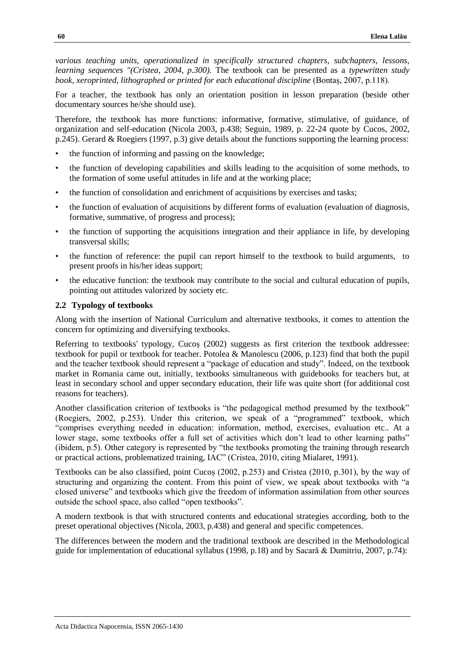*various teaching units, operationalized in specifically structured chapters, subchapters, lessons, learning sequences "(Cristea, 2004, p.300).* The textbook can be presented as a *typewritten study book, xeroprinted, lithographed or printed for each educational discipline* (Bontaș, 2007, p.118).

For a teacher, the textbook has only an orientation position in lesson preparation (beside other documentary sources he/she should use).

Therefore, the textbook has more functions: informative, formative, stimulative, of guidance, of organization and self-education (Nicola 2003, p.438; Seguin, 1989, p. 22-24 quote by Cucos, 2002, p.245). Gerard & Roegiers (1997, p.3) give details about the functions supporting the learning process:

- the function of informing and passing on the knowledge;
- the function of developing capabilities and skills leading to the acquisition of some methods, to the formation of some useful attitudes in life and at the working place;
- the function of consolidation and enrichment of acquisitions by exercises and tasks;
- the function of evaluation of acquisitions by different forms of evaluation (evaluation of diagnosis, formative, summative, of progress and process);
- the function of supporting the acquisitions integration and their appliance in life, by developing transversal skills;
- the function of reference: the pupil can report himself to the textbook to build arguments, to present proofs in his/her ideas support;
- the educative function: the textbook may contribute to the social and cultural education of pupils, pointing out attitudes valorized by society etc.

## **2.2 Typology of textbooks**

Along with the insertion of National Curriculum and alternative textbooks, it comes to attention the concern for optimizing and diversifying textbooks.

Referring to textbooks' typology, Cucoș (2002) suggests as first criterion the textbook addressee: textbook for pupil or textbook for teacher. Potolea & Manolescu (2006, p.123) find that both the pupil and the teacher textbook should represent a "package of education and study". Indeed, on the textbook market in Romania came out, initially, textbooks simultaneous with guidebooks for teachers but, at least in secondary school and upper secondary education, their life was quite short (for additional cost reasons for teachers).

Another classification criterion of textbooks is "the pedagogical method presumed by the textbook" (Roegiers, 2002, p.253). Under this criterion, we speak of a "programmed" textbook, which "comprises everything needed in education: information, method, exercises, evaluation etc.. At a lower stage, some textbooks offer a full set of activities which don't lead to other learning paths" (ibidem, p.5). Other category is represented by "the textbooks promoting the training through research or practical actions, problematized training, IAC" (Cristea, 2010, citing Mialaret, 1991).

Textbooks can be also classified, point Cucoș (2002, p.253) and Cristea (2010, p.301), by the way of structuring and organizing the content. From this point of view, we speak about textbooks with "a closed universe" and textbooks which give the freedom of information assimilation from other sources outside the school space, also called "open textbooks".

A modern textbook is that with structured contents and educational strategies according, both to the preset operational objectives (Nicola, 2003, p.438) and general and specific competences.

The differences between the modern and the traditional textbook are described in the Methodological guide for implementation of educational syllabus (1998, p.18) and by Sacară & Dumitriu, 2007, p.74):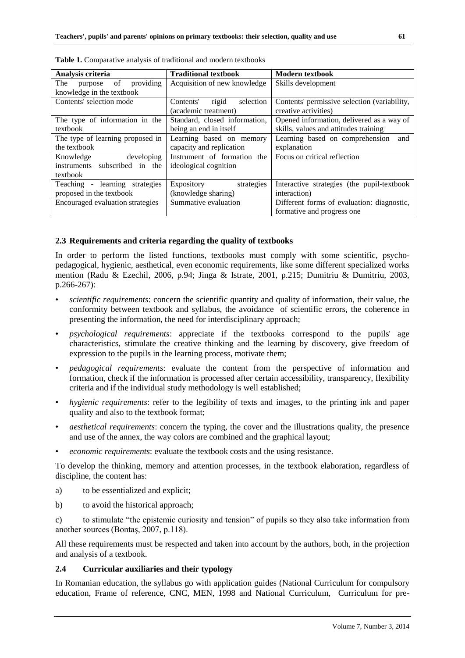| Analysis criteria                 | <b>Traditional textbook</b>     | <b>Modern textbook</b>                       |  |
|-----------------------------------|---------------------------------|----------------------------------------------|--|
| providing<br>of<br>The<br>purpose | Acquisition of new knowledge    | Skills development                           |  |
| knowledge in the textbook         |                                 |                                              |  |
|                                   |                                 |                                              |  |
| Contents' selection mode          | rigid<br>selection<br>Contents' | Contents' permissive selection (variability, |  |
|                                   | (academic treatment)            | creative activities)                         |  |
|                                   |                                 |                                              |  |
| The type of information in the    | Standard, closed information,   | Opened information, delivered as a way of    |  |
| textbook                          | being an end in itself          | skills, values and attitudes training        |  |
| The type of learning proposed in  | Learning based on memory        | Learning based on comprehension<br>and       |  |
| the textbook                      | capacity and replication        | explanation                                  |  |
| developing<br>Knowledge           | Instrument of formation the     | Focus on critical reflection                 |  |
| instruments subscribed in the     | ideological cognition           |                                              |  |
| textbook                          |                                 |                                              |  |
| Teaching - learning strategies    | Expository<br>strategies        | Interactive strategies (the pupil-textbook   |  |
| proposed in the textbook          | (knowledge sharing)             | interaction)                                 |  |
| Encouraged evaluation strategies  | Summative evaluation            | Different forms of evaluation: diagnostic,   |  |
|                                   |                                 | formative and progress one                   |  |

**Table 1.** Comparative analysis of traditional and modern textbooks

## **2.3 Requirements and criteria regarding the quality of textbooks**

In order to perform the listed functions, textbooks must comply with some scientific, psychopedagogical, hygienic, aesthetical, even economic requirements, like some different specialized works mention (Radu & Ezechil, 2006, p.94; Jinga & Istrate, 2001, p.215; Dumitriu & Dumitriu, 2003, p.266-267):

- *scientific requirements*: concern the scientific quantity and quality of information, their value, the conformity between textbook and syllabus, the avoidance of scientific errors, the coherence in presenting the information, the need for interdisciplinary approach;
- *psychological requirements*: appreciate if the textbooks correspond to the pupils' age characteristics, stimulate the creative thinking and the learning by discovery, give freedom of expression to the pupils in the learning process, motivate them;
- *pedagogical requirements*: evaluate the content from the perspective of information and formation, check if the information is processed after certain accessibility, transparency, flexibility criteria and if the individual study methodology is well established;
- *hygienic requirements*: refer to the legibility of texts and images, to the printing ink and paper quality and also to the textbook format;
- *aesthetical requirements*: concern the typing, the cover and the illustrations quality, the presence and use of the annex, the way colors are combined and the graphical layout;
- *economic requirements*: evaluate the textbook costs and the using resistance.

To develop the thinking, memory and attention processes, in the textbook elaboration, regardless of discipline, the content has:

- a) to be essentialized and explicit;
- b) to avoid the historical approach;

c) to stimulate "the epistemic curiosity and tension" of pupils so they also take information from another sources (Bontaș, 2007, p.118).

All these requirements must be respected and taken into account by the authors, both, in the projection and analysis of a textbook.

# **2.4 Curricular auxiliaries and their typology**

In Romanian education, the syllabus go with application guides (National Curriculum for compulsory education, Frame of reference, CNC, MEN, 1998 and National Curriculum, Curriculum for pre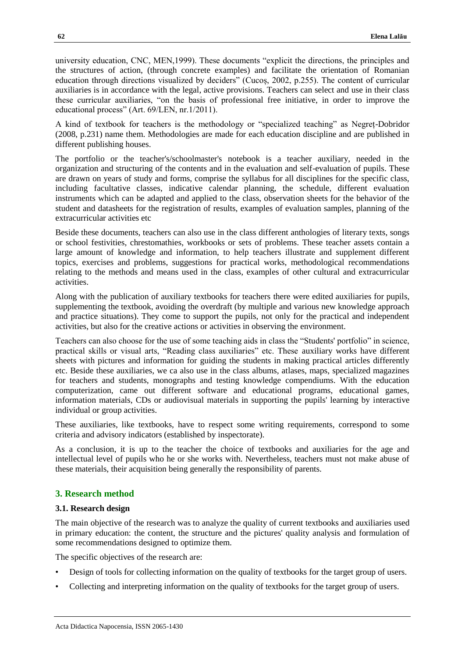university education, CNC, MEN,1999). These documents "explicit the directions, the principles and the structures of action, (through concrete examples) and facilitate the orientation of Romanian education through directions visualized by deciders" (Cucoș, 2002, p.255). The content of curricular auxiliaries is in accordance with the legal, active provisions. Teachers can select and use in their class these curricular auxiliaries, "on the basis of professional free initiative, in order to improve the educational process" (Art. 69/LEN, nr.1/2011).

A kind of textbook for teachers is the methodology or "specialized teaching" as Negreț-Dobridor (2008, p.231) name them. Methodologies are made for each education discipline and are published in different publishing houses.

The portfolio or the teacher's/schoolmaster's notebook is a teacher auxiliary, needed in the organization and structuring of the contents and in the evaluation and self-evaluation of pupils. These are drawn on years of study and forms, comprise the syllabus for all disciplines for the specific class, including facultative classes, indicative calendar planning, the schedule, different evaluation instruments which can be adapted and applied to the class, observation sheets for the behavior of the student and datasheets for the registration of results, examples of evaluation samples, planning of the extracurricular activities etc

Beside these documents, teachers can also use in the class different anthologies of literary texts, songs or school festivities, chrestomathies, workbooks or sets of problems. These teacher assets contain a large amount of knowledge and information, to help teachers illustrate and supplement different topics, exercises and problems, suggestions for practical works, methodological recommendations relating to the methods and means used in the class, examples of other cultural and extracurricular activities.

Along with the publication of auxiliary textbooks for teachers there were edited auxiliaries for pupils, supplementing the textbook, avoiding the overdraft (by multiple and various new knowledge approach and practice situations). They come to support the pupils, not only for the practical and independent activities, but also for the creative actions or activities in observing the environment.

Teachers can also choose for the use of some teaching aids in class the "Students' portfolio" in science, practical skills or visual arts, "Reading class auxiliaries" etc. These auxiliary works have different sheets with pictures and information for guiding the students in making practical articles differently etc. Beside these auxiliaries, we ca also use in the class albums, atlases, maps, specialized magazines for teachers and students, monographs and testing knowledge compendiums. With the education computerization, came out different software and educational programs, educational games, information materials, CDs or audiovisual materials in supporting the pupils' learning by interactive individual or group activities.

These auxiliaries, like textbooks, have to respect some writing requirements, correspond to some criteria and advisory indicators (established by inspectorate).

As a conclusion, it is up to the teacher the choice of textbooks and auxiliaries for the age and intellectual level of pupils who he or she works with. Nevertheless, teachers must not make abuse of these materials, their acquisition being generally the responsibility of parents.

# **3. Research method**

#### **3.1. Research design**

The main objective of the research was to analyze the quality of current textbooks and auxiliaries used in primary education: the content, the structure and the pictures' quality analysis and formulation of some recommendations designed to optimize them.

The specific objectives of the research are:

- Design of tools for collecting information on the quality of textbooks for the target group of users.
- Collecting and interpreting information on the quality of textbooks for the target group of users.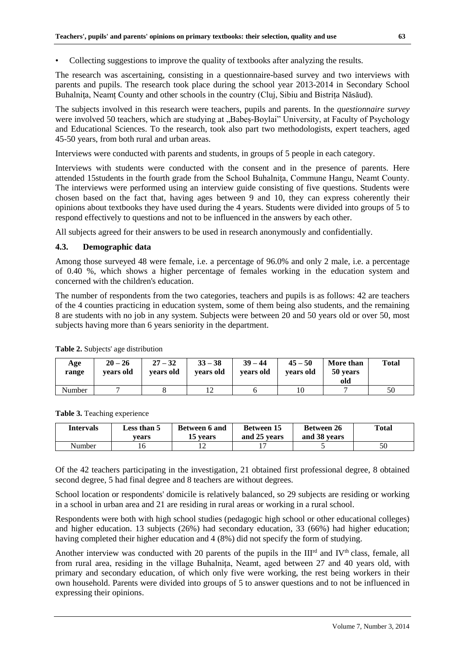• Collecting suggestions to improve the quality of textbooks after analyzing the results.

The research was ascertaining, consisting in a questionnaire-based survey and two interviews with parents and pupils. The research took place during the school year 2013-2014 in Secondary School Buhalniţa, Neamț County and other schools in the country (Cluj, Sibiu and Bistrița Năsăud).

The subjects involved in this research were teachers, pupils and parents. In the *questionnaire survey*  were involved 50 teachers, which are studying at "Babes-Boylai" University, at Faculty of Psychology and Educational Sciences. To the research, took also part two methodologists, expert teachers, aged 45-50 years, from both rural and urban areas.

Interviews were conducted with parents and students, in groups of 5 people in each category.

Interviews with students were conducted with the consent and in the presence of parents. Here attended 15students in the fourth grade from the School Buhalniţa, Commune Hangu, Neamt County. The interviews were performed using an interview guide consisting of five questions. Students were chosen based on the fact that, having ages between 9 and 10, they can express coherently their opinions about textbooks they have used during the 4 years. Students were divided into groups of 5 to respond effectively to questions and not to be influenced in the answers by each other.

All subjects agreed for their answers to be used in research anonymously and confidentially.

## **4.3. Demographic data**

Among those surveyed 48 were female, i.e. a percentage of 96.0% and only 2 male, i.e. a percentage of 0.40 %, which shows a higher percentage of females working in the education system and concerned with the children's education.

The number of respondents from the two categories, teachers and pupils is as follows: 42 are teachers of the 4 counties practicing in education system, some of them being also students, and the remaining 8 are students with no job in any system. Subjects were between 20 and 50 years old or over 50, most subjects having more than 6 years seniority in the department.

| Age<br>range | $20 - 26$<br>vears old | $27 - 32$<br>vears old | $33 - 38$<br>vears old | $39 - 44$<br>vears old | $45 - 50$<br>vears old | More than<br>50 years<br>old | <b>Total</b> |
|--------------|------------------------|------------------------|------------------------|------------------------|------------------------|------------------------------|--------------|
| Number       |                        |                        |                        |                        | 10                     |                              | 50           |

**Table 2.** Subjects' age distribution

**Table 3.** Teaching experience

| Intervals | <b>Less than 5</b><br>vears | <b>Between 6 and</b><br>15 vears | <b>Between 15</b><br>and 25 years | <b>Between 26</b><br>and 38 years | Total |
|-----------|-----------------------------|----------------------------------|-----------------------------------|-----------------------------------|-------|
| Number    |                             | ∸                                |                                   |                                   | 50    |

Of the 42 teachers participating in the investigation, 21 obtained first professional degree, 8 obtained second degree, 5 had final degree and 8 teachers are without degrees.

School location or respondents' domicile is relatively balanced, so 29 subjects are residing or working in a school in urban area and 21 are residing in rural areas or working in a rural school.

Respondents were both with high school studies (pedagogic high school or other educational colleges) and higher education. 13 subjects (26%) had secondary education, 33 (66%) had higher education; having completed their higher education and 4 (8%) did not specify the form of studying.

Another interview was conducted with 20 parents of the pupils in the III<sup>rd</sup> and IV<sup>th</sup> class, female, all from rural area, residing in the village Buhalnita, Neamt, aged between 27 and 40 years old, with primary and secondary education, of which only five were working, the rest being workers in their own household. Parents were divided into groups of 5 to answer questions and to not be influenced in expressing their opinions.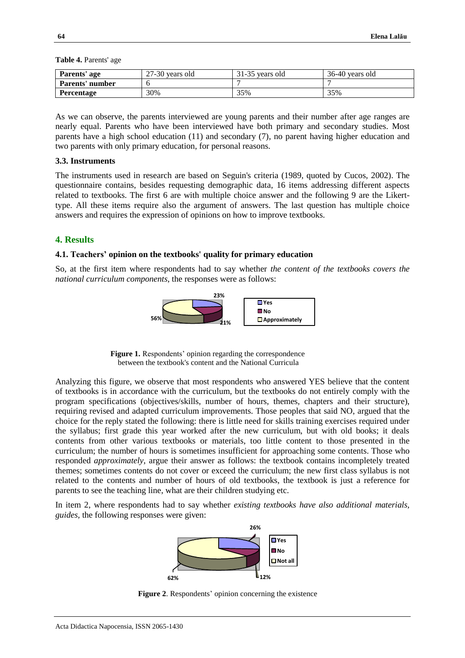| Parents' age      | $27-30$ vears old | 31-35 years old | 36-40 years old |
|-------------------|-------------------|-----------------|-----------------|
| Parents' number   |                   |                 |                 |
| <b>Percentage</b> | 30%               | 35%             | 35%             |

**Table 4.** Parents' age

As we can observe, the parents interviewed are young parents and their number after age ranges are nearly equal. Parents who have been interviewed have both primary and secondary studies. Most parents have a high school education (11) and secondary (7), no parent having higher education and two parents with only primary education, for personal reasons.

#### **3.3. Instruments**

The instruments used in research are based on Seguin's criteria (1989, quoted by Cucos, 2002). The questionnaire contains, besides requesting demographic data, 16 items addressing different aspects related to textbooks. The first 6 are with multiple choice answer and the following 9 are the Likerttype. All these items require also the argument of answers. The last question has multiple choice answers and requires the expression of opinions on how to improve textbooks.

#### **4. Results**

#### **4.1. Teachers' opinion on the textbooks' quality for primary education**

So, at the first item where respondents had to say whether *the content of the textbooks covers the national curriculum components*, the responses were as follows:



**Figure 1.** Respondents' opinion regarding the correspondence between the textbook's content and the National Curricula

Analyzing this figure, we observe that most respondents who answered YES believe that the content of textbooks is in accordance with the curriculum, but the textbooks do not entirely comply with the program specifications (objectives/skills, number of hours, themes, chapters and their structure), requiring revised and adapted curriculum improvements. Those peoples that said NO, argued that the choice for the reply stated the following: there is little need for skills training exercises required under the syllabus; first grade this year worked after the new curriculum, but with old books; it deals contents from other various textbooks or materials, too little content to those presented in the curriculum; the number of hours is sometimes insufficient for approaching some contents. Those who responded *approximately*, argue their answer as follows: the textbook contains incompletely treated themes; sometimes contents do not cover or exceed the curriculum; the new first class syllabus is not related to the contents and number of hours of old textbooks, the textbook is just a reference for parents to see the teaching line, what are their children studying etc.

In item 2, where respondents had to say whether *existing textbooks have also additional materials, guides,* the following responses were given:



**Figure 2**. Respondents' opinion concerning the existence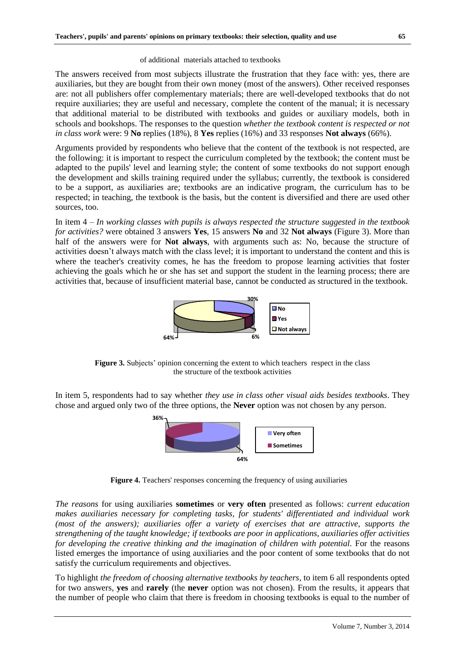The answers received from most subjects illustrate the frustration that they face with: yes, there are auxiliaries, but they are bought from their own money (most of the answers). Other received responses are: not all publishers offer complementary materials; there are well-developed textbooks that do not require auxiliaries; they are useful and necessary, complete the content of the manual; it is necessary that additional material to be distributed with textbooks and guides or auxiliary models, both in schools and bookshops. The responses to the question *whether the textbook content is respected or not in class work* were: 9 **No** replies (18%), 8 **Yes** replies (16%) and 33 responses **Not always** (66%).

Arguments provided by respondents who believe that the content of the textbook is not respected, are the following: it is important to respect the curriculum completed by the textbook; the content must be adapted to the pupils' level and learning style; the content of some textbooks do not support enough the development and skills training required under the syllabus; currently, the textbook is considered to be a support, as auxiliaries are; textbooks are an indicative program, the curriculum has to be respected; in teaching, the textbook is the basis, but the content is diversified and there are used other sources, too.

In item 4 – *In working classes with pupils is always respected the structure suggested in the textbook for activities?* were obtained 3 answers **Yes**, 15 answers **No** and 32 **Not always** (Figure 3). More than half of the answers were for **Not always**, with arguments such as: No, because the structure of activities doesn't always match with the class level; it is important to understand the content and this is where the teacher's creativity comes, he has the freedom to propose learning activities that foster achieving the goals which he or she has set and support the student in the learning process; there are activities that, because of insufficient material base, cannot be conducted as structured in the textbook.



**Figure 3.** Subjects' opinion concerning the extent to which teachers respect in the class the structure of the textbook activities

In item 5, respondents had to say whether *they use in class other visual aids besides textbooks*. They chose and argued only two of the three options, the **Never** option was not chosen by any person.



**Figure 4.** Teachers' responses concerning the frequency of using auxiliaries

*The reasons* for using auxiliaries **sometimes** or **very often** presented as follows: *current education makes auxiliaries necessary for completing tasks, for students' differentiated and individual work (most of the answers); auxiliaries offer a variety of exercises that are attractive, supports the strengthening of the taught knowledge; if textbooks are poor in applications, auxiliaries offer activities for developing the creative thinking and the imagination of children with potential.* For the reasons listed emerges the importance of using auxiliaries and the poor content of some textbooks that do not satisfy the curriculum requirements and objectives.

To highlight *the freedom of choosing alternative textbooks by teachers,* to item 6 all respondents opted for two answers, **yes** and **rarely** (the **never** option was not chosen). From the results, it appears that the number of people who claim that there is freedom in choosing textbooks is equal to the number of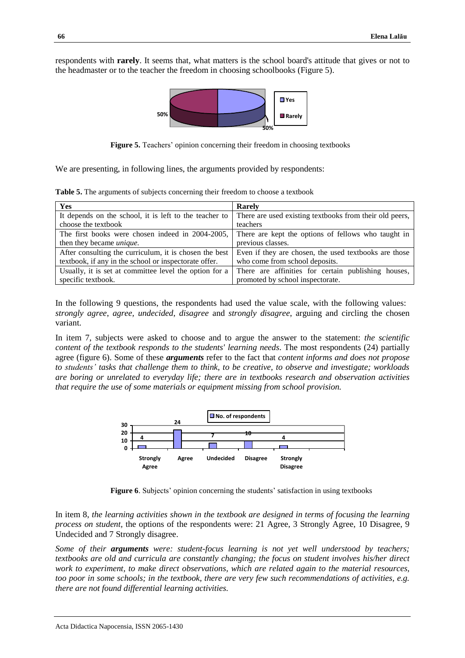respondents with **rarely**. It seems that, what matters is the school board's attitude that gives or not to the headmaster or to the teacher the freedom in choosing schoolbooks (Figure 5).



**Figure 5.** Teachers' opinion concerning their freedom in choosing textbooks

We are presenting, in following lines, the arguments provided by respondents:

**Table 5.** The arguments of subjects concerning their freedom to choose a textbook

| <b>Yes</b>                                             | Rarely                                                  |
|--------------------------------------------------------|---------------------------------------------------------|
| It depends on the school, it is left to the teacher to | There are used existing textbooks from their old peers, |
| choose the textbook                                    | teachers                                                |
| The first books were chosen indeed in 2004-2005,       | There are kept the options of fellows who taught in     |
| then they became <i>unique</i> .                       | previous classes.                                       |
| After consulting the curriculum, it is chosen the best | Even if they are chosen, the used textbooks are those   |
| textbook, if any in the school or inspectorate offer.  | who come from school deposits.                          |
| Usually, it is set at committee level the option for a | There are affinities for certain publishing houses,     |
| specific textbook.                                     | promoted by school inspectorate.                        |

In the following 9 questions, the respondents had used the value scale, with the following values: *strongly agree*, *agree, undecided*, *disagree* and *strongly disagree*, arguing and circling the chosen variant.

In item 7, subjects were asked to choose and to argue the answer to the statement: *the scientific content of the textbook responds to the students' learning needs*. The most respondents (24) partially agree (figure 6). Some of these *arguments* refer to the fact that *content informs and does not propose to students' tasks that challenge them to think, to be creative, to observe and investigate; workloads are boring or unrelated to everyday life; there are in textbooks research and observation activities that require the use of some materials or equipment missing from school provision.*



**Figure 6**. Subjects' opinion concerning the students' satisfaction in using textbooks

In item 8, *the learning activities shown in the textbook are designed in terms of focusing the learning process on student,* the options of the respondents were: 21 Agree, 3 Strongly Agree, 10 Disagree, 9 Undecided and 7 Strongly disagree.

*Some of their arguments were: student-focus learning is not yet well understood by teachers; textbooks are old and curricula are constantly changing; the focus on student involves his/her direct work to experiment, to make direct observations, which are related again to the material resources, too poor in some schools; in the textbook, there are very few such recommendations of activities, e.g. there are not found differential learning activities.*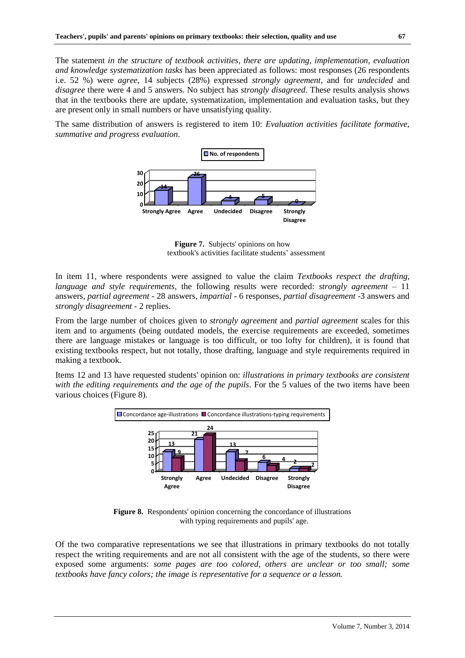The statement *in the structure of textbook activities, there are updating, implementation, evaluation and knowledge systematization tasks* has been appreciated as follows: most responses (26 respondents i.e. 52 %) were *agree*, 14 subjects (28%) expressed *strongly agreement*, and for *undecided* and *disagree* there were 4 and 5 answers. No subject has *strongly disagreed*. These results analysis shows that in the textbooks there are update, systematization, implementation and evaluation tasks, but they are present only in small numbers or have unsatisfying quality.

The same distribution of answers is registered to item 10: *Evaluation activities facilitate formative, summative and progress evaluation*.



**Figure 7.** Subjects' opinions on how textbook's activities facilitate students' assessment

In item 11, where respondents were assigned to value the claim *Textbooks respect the drafting, language and style requirements,* the following results were recorded: *strongly agreement* – 11 answers, *partial agreement* - 28 answers, *impartial* - 6 responses, *partial disagreement* -3 answers and *strongly disagreement -* 2 replies.

From the large number of choices given to *strongly agreement* and *partial agreement* scales for this item and to arguments (being outdated models, the exercise requirements are exceeded, sometimes there are language mistakes or language is too difficult, or too lofty for children), it is found that existing textbooks respect, but not totally, those drafting, language and style requirements required in making a textbook.

Items 12 and 13 have requested students' opinion on: *illustrations in primary textbooks are consistent with the editing requirements and the age of the pupils*. For the 5 values of the two items have been various choices (Figure 8).



**Figure 8.** Respondents' opinion concerning the concordance of illustrations with typing requirements and pupils' age.

Of the two comparative representations we see that illustrations in primary textbooks do not totally respect the writing requirements and are not all consistent with the age of the students, so there were exposed some arguments: *some pages are too colored, others are unclear or too small; some textbooks have fancy colors; the image is representative for a sequence or a lesson.*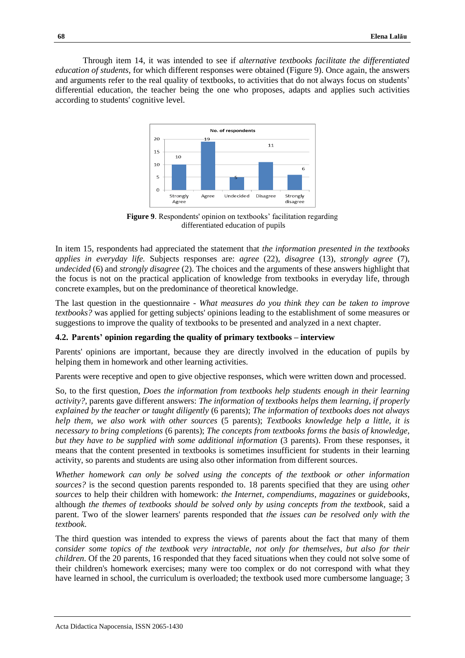Through item 14, it was intended to see if *alternative textbooks facilitate the differentiated education of students*, for which different responses were obtained (Figure 9). Once again, the answers and arguments refer to the real quality of textbooks, to activities that do not always focus on students' differential education, the teacher being the one who proposes, adapts and applies such activities according to students' cognitive level.



**Figure 9**. Respondents' opinion on textbooks' facilitation regarding differentiated education of pupils

In item 15, respondents had appreciated the statement that *the information presented in the textbooks applies in everyday life.* Subjects responses are: *agree* (22), *disagree* (13), *strongly agree* (7), *undecided* (6) and *strongly disagree* (2). The choices and the arguments of these answers highlight that the focus is not on the practical application of knowledge from textbooks in everyday life, through concrete examples, but on the predominance of theoretical knowledge.

The last question in the questionnaire - *What measures do you think they can be taken to improve textbooks?* was applied for getting subjects' opinions leading to the establishment of some measures or suggestions to improve the quality of textbooks to be presented and analyzed in a next chapter.

#### **4.2. Parents' opinion regarding the quality of primary textbooks – interview**

Parents' opinions are important, because they are directly involved in the education of pupils by helping them in homework and other learning activities.

Parents were receptive and open to give objective responses, which were written down and processed.

So, to the first question, *Does the information from textbooks help students enough in their learning activity?*, parents gave different answers: *The information of textbooks helps them learning, if properly explained by the teacher or taught diligently* (6 parents); *The information of textbooks does not always help them, we also work with other sources* (5 parents); *Textbooks knowledge help a little, it is necessary to bring completions* (6 parents); *The concepts from textbooks forms the basis of knowledge, but they have to be supplied with some additional information* (3 parents). From these responses, it means that the content presented in textbooks is sometimes insufficient for students in their learning activity, so parents and students are using also other information from different sources.

*Whether homework can only be solved using the concepts of the textbook or other information sources?* is the second question parents responded to. 18 parents specified that they are using *other sources* to help their children with homework: *the Internet*, *compendiums*, *magazines* or *guidebooks*, although *the themes of textbooks should be solved only by using concepts from the textbook*, said a parent. Two of the slower learners' parents responded that *the issues can be resolved only with the textbook*.

The third question was intended to express the views of parents about the fact that many of them *consider some topics of the textbook very intractable, not only for themselves, but also for their children*. Of the 20 parents, 16 responded that they faced situations when they could not solve some of their children's homework exercises; many were too complex or do not correspond with what they have learned in school, the curriculum is overloaded; the textbook used more cumbersome language; 3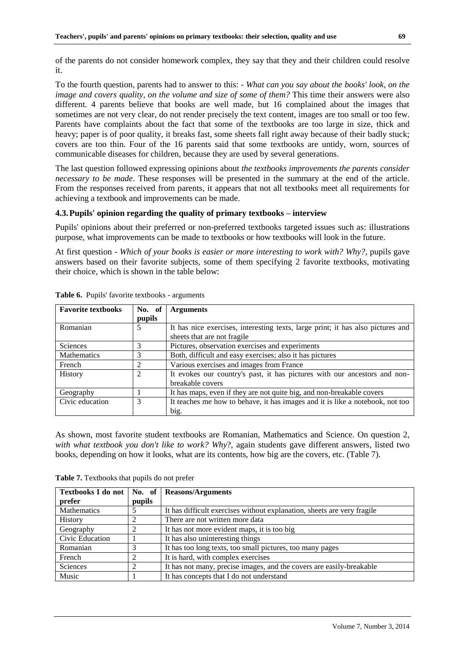of the parents do not consider homework complex, they say that they and their children could resolve it.

To the fourth question, parents had to answer to this: *- What can you say about the books' look, on the image and covers quality, on the volume and size of some of them?* This time their answers were also different. 4 parents believe that books are well made, but 16 complained about the images that sometimes are not very clear, do not render precisely the text content, images are too small or too few. Parents have complaints about the fact that some of the textbooks are too large in size, thick and heavy; paper is of poor quality, it breaks fast, some sheets fall right away because of their badly stuck; covers are too thin. Four of the 16 parents said that some textbooks are untidy, worn, sources of communicable diseases for children, because they are used by several generations.

The last question followed expressing opinions about *the textbooks improvements the parents consider necessary to be made*. These responses will be presented in the summary at the end of the article. From the responses received from parents, it appears that not all textbooks meet all requirements for achieving a textbook and improvements can be made.

# **4.3.Pupils' opinion regarding the quality of primary textbooks – interview**

Pupils' opinions about their preferred or non-preferred textbooks targeted issues such as: illustrations purpose, what improvements can be made to textbooks or how textbooks will look in the future.

At first question - *Which of your books is easier or more interesting to work with? Why?*, pupils gave answers based on their favorite subjects, some of them specifying 2 favorite textbooks, motivating their choice, which is shown in the table below:

| <b>Favorite textbooks</b> | No. of<br>pupils | <b>Arguments</b>                                                                                               |
|---------------------------|------------------|----------------------------------------------------------------------------------------------------------------|
| Romanian                  | 5                | It has nice exercises, interesting texts, large print; it has also pictures and<br>sheets that are not fragile |
| Sciences                  | 3                | Pictures, observation exercises and experiments                                                                |
| <b>Mathematics</b>        | 3                | Both, difficult and easy exercises; also it has pictures                                                       |
| French                    | $\mathcal{D}$    | Various exercises and images from France                                                                       |
| History                   | $\mathfrak{D}$   | It evokes our country's past, it has pictures with our ancestors and non-<br>breakable covers                  |
| Geography                 |                  | It has maps, even if they are not quite big, and non-breakable covers                                          |
| Civic education           | 3                | It teaches me how to behave, it has images and it is like a notebook, not too<br>big.                          |

**Table 6.** Pupils' favorite textbooks - arguments

As shown, most favorite student textbooks are Romanian, Mathematics and Science. On question 2, *with what textbook you don't like to work? Why*?, again students gave different answers, listed two books, depending on how it looks, what are its contents, how big are the covers, etc. (Table 7).

|                    |                | Textbooks I do not   No. of   Reasons/Arguments                         |  |
|--------------------|----------------|-------------------------------------------------------------------------|--|
| prefer             | pupils         |                                                                         |  |
| <b>Mathematics</b> |                | It has difficult exercises without explanation, sheets are very fragile |  |
| <b>History</b>     | $\overline{c}$ | There are not written more data                                         |  |
| Geography          | 2              | It has not more evident maps, it is too big                             |  |
| Civic Education    |                | It has also uninteresting things                                        |  |
| Romanian           | 3              | It has too long texts, too small pictures, too many pages               |  |
| French             | $\overline{2}$ | It is hard, with complex exercises                                      |  |
| Sciences           | $\overline{2}$ | It has not many, precise images, and the covers are easily-breakable    |  |
| Music              |                | It has concepts that I do not understand                                |  |

**Table 7.** Textbooks that pupils do not prefer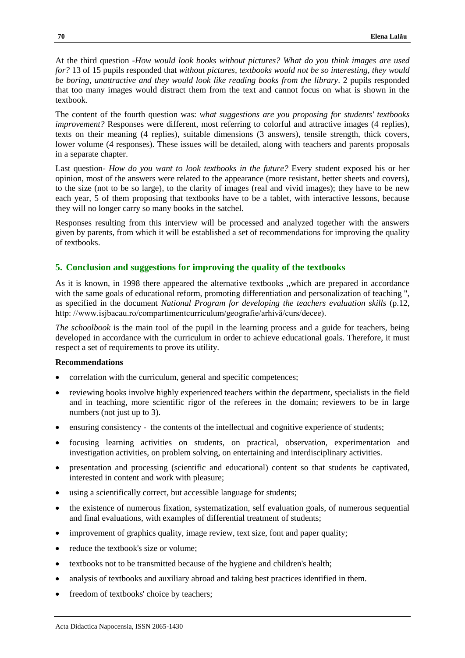At the third question *-How would look books without pictures? What do you think images are used for?* 13 of 15 pupils responded that *without pictures, textbooks would not be so interesting, they would be boring, unattractive and they would look like reading books from the library*. 2 pupils responded that too many images would distract them from the text and cannot focus on what is shown in the textbook.

The content of the fourth question was: *what suggestions are you proposing for students' textbooks improvement?* Responses were different, most referring to colorful and attractive images (4 replies), texts on their meaning (4 replies), suitable dimensions (3 answers), tensile strength, thick covers, lower volume (4 responses). These issues will be detailed, along with teachers and parents proposals in a separate chapter.

Last question- *How do you want to look textbooks in the future?* Every student exposed his or her opinion, most of the answers were related to the appearance (more resistant, better sheets and covers), to the size (not to be so large), to the clarity of images (real and vivid images); they have to be new each year, 5 of them proposing that textbooks have to be a tablet, with interactive lessons, because they will no longer carry so many books in the satchel.

Responses resulting from this interview will be processed and analyzed together with the answers given by parents, from which it will be established a set of recommendations for improving the quality of textbooks.

## **5. Conclusion and suggestions for improving the quality of the textbooks**

As it is known, in 1998 there appeared the alternative textbooks ,,which are prepared in accordance with the same goals of educational reform, promoting differentiation and personalization of teaching ", as specified in the document *National Program for developing the teachers evaluation skills* (p.12, http: //www.isjbacau.ro/compartimentcurriculum/geografie/arhivă/curs/decee).

*The schoolbook* is the main tool of the pupil in the learning process and a guide for teachers, being developed in accordance with the curriculum in order to achieve educational goals. Therefore, it must respect a set of requirements to prove its utility.

#### **Recommendations**

- correlation with the curriculum, general and specific competences;
- reviewing books involve highly experienced teachers within the department, specialists in the field and in teaching, more scientific rigor of the referees in the domain; reviewers to be in large numbers (not just up to 3).
- ensuring consistency the contents of the intellectual and cognitive experience of students;
- focusing learning activities on students, on practical, observation, experimentation and investigation activities, on problem solving, on entertaining and interdisciplinary activities.
- presentation and processing (scientific and educational) content so that students be captivated, interested in content and work with pleasure;
- using a scientifically correct, but accessible language for students;
- the existence of numerous fixation, systematization, self evaluation goals, of numerous sequential and final evaluations, with examples of differential treatment of students;
- improvement of graphics quality, image review, text size, font and paper quality;
- reduce the textbook's size or volume;
- textbooks not to be transmitted because of the hygiene and children's health;
- analysis of textbooks and auxiliary abroad and taking best practices identified in them.
- freedom of textbooks' choice by teachers;